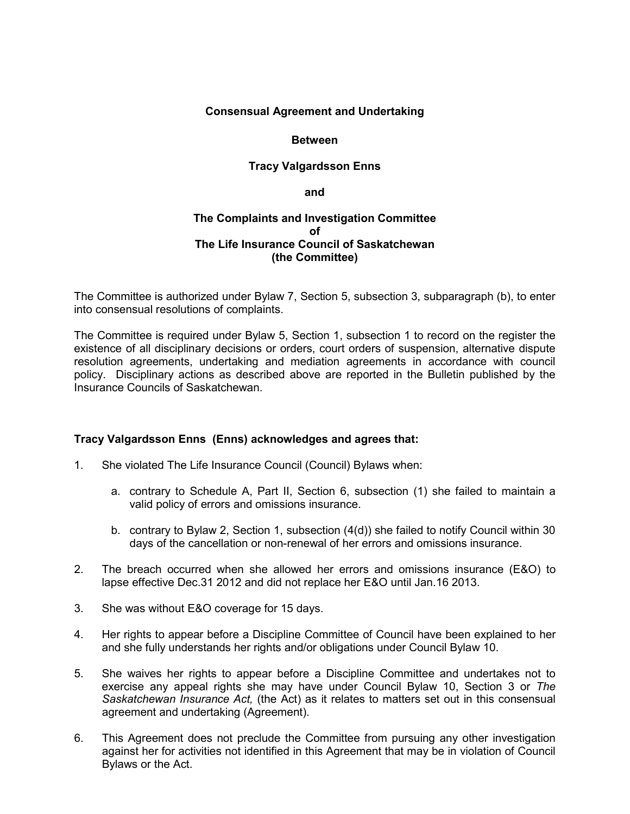## **Consensual Agreement and Undertaking**

### **Between**

# **Tracy Valgardsson Enns**

**and**

## **The Complaints and Investigation Committee of The Life Insurance Council of Saskatchewan (the Committee)**

The Committee is authorized under Bylaw 7, Section 5, subsection 3, subparagraph (b), to enter into consensual resolutions of complaints.

The Committee is required under Bylaw 5, Section 1, subsection 1 to record on the register the existence of all disciplinary decisions or orders, court orders of suspension, alternative dispute resolution agreements, undertaking and mediation agreements in accordance with council policy. Disciplinary actions as described above are reported in the Bulletin published by the Insurance Councils of Saskatchewan.

# **Tracy Valgardsson Enns (Enns) acknowledges and agrees that:**

- 1. She violated The Life Insurance Council (Council) Bylaws when:
	- a. contrary to Schedule A, Part II, Section 6, subsection (1) she failed to maintain a valid policy of errors and omissions insurance.
	- b. contrary to Bylaw 2, Section 1, subsection (4(d)) she failed to notify Council within 30 days of the cancellation or non-renewal of her errors and omissions insurance.
- 2. The breach occurred when she allowed her errors and omissions insurance (E&O) to lapse effective Dec.31 2012 and did not replace her E&O until Jan.16 2013.
- 3. She was without E&O coverage for 15 days.
- 4. Her rights to appear before a Discipline Committee of Council have been explained to her and she fully understands her rights and/or obligations under Council Bylaw 10.
- 5. She waives her rights to appear before a Discipline Committee and undertakes not to exercise any appeal rights she may have under Council Bylaw 10, Section 3 or *The Saskatchewan Insurance Act,* (the Act) as it relates to matters set out in this consensual agreement and undertaking (Agreement).
- 6. This Agreement does not preclude the Committee from pursuing any other investigation against her for activities not identified in this Agreement that may be in violation of Council Bylaws or the Act.